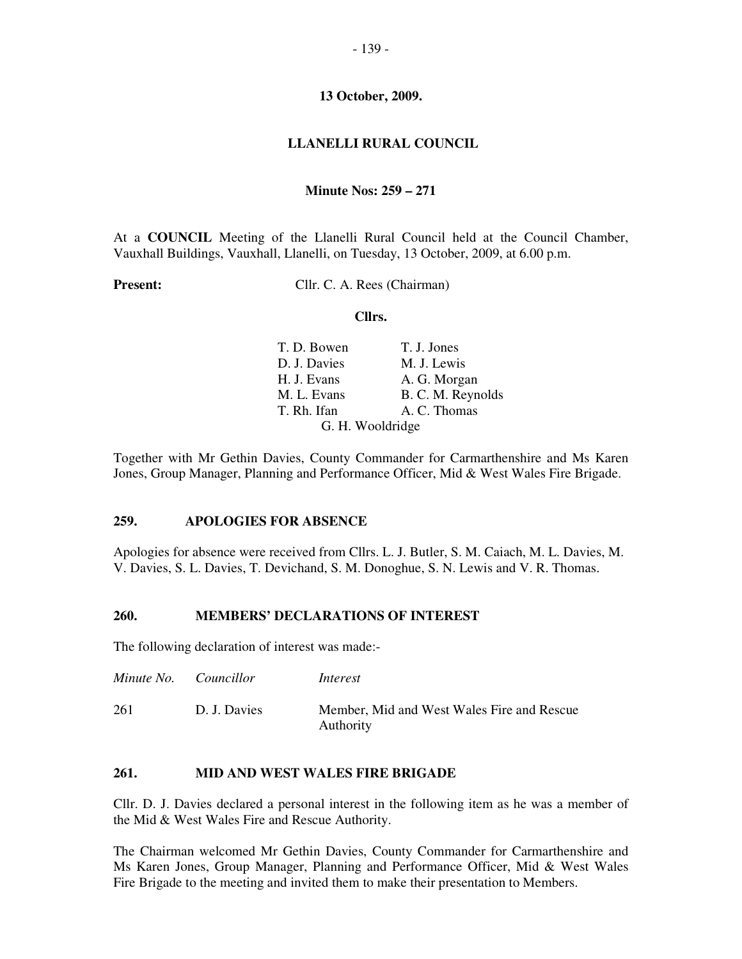### **LLANELLI RURAL COUNCIL**

### **Minute Nos: 259 – 271**

At a **COUNCIL** Meeting of the Llanelli Rural Council held at the Council Chamber, Vauxhall Buildings, Vauxhall, Llanelli, on Tuesday, 13 October, 2009, at 6.00 p.m.

**Present:** Cllr. C. A. Rees (Chairman)

#### **Cllrs.**

| T. D. Bowen      | T. J. Jones       |
|------------------|-------------------|
| D. J. Davies     | M. J. Lewis       |
| H. J. Evans      | A. G. Morgan      |
| M. L. Evans      | B. C. M. Reynolds |
| T. Rh. Ifan      | A. C. Thomas      |
| G. H. Wooldridge |                   |

Together with Mr Gethin Davies, County Commander for Carmarthenshire and Ms Karen Jones, Group Manager, Planning and Performance Officer, Mid & West Wales Fire Brigade.

#### **259. APOLOGIES FOR ABSENCE**

Apologies for absence were received from Cllrs. L. J. Butler, S. M. Caiach, M. L. Davies, M. V. Davies, S. L. Davies, T. Devichand, S. M. Donoghue, S. N. Lewis and V. R. Thomas.

#### **260. MEMBERS' DECLARATIONS OF INTEREST**

The following declaration of interest was made:-

| Minute No. Councillor |              | Interest                                                |
|-----------------------|--------------|---------------------------------------------------------|
| 261                   | D. J. Davies | Member, Mid and West Wales Fire and Rescue<br>Authority |

# **261. MID AND WEST WALES FIRE BRIGADE**

Cllr. D. J. Davies declared a personal interest in the following item as he was a member of the Mid & West Wales Fire and Rescue Authority.

The Chairman welcomed Mr Gethin Davies, County Commander for Carmarthenshire and Ms Karen Jones, Group Manager, Planning and Performance Officer, Mid & West Wales Fire Brigade to the meeting and invited them to make their presentation to Members.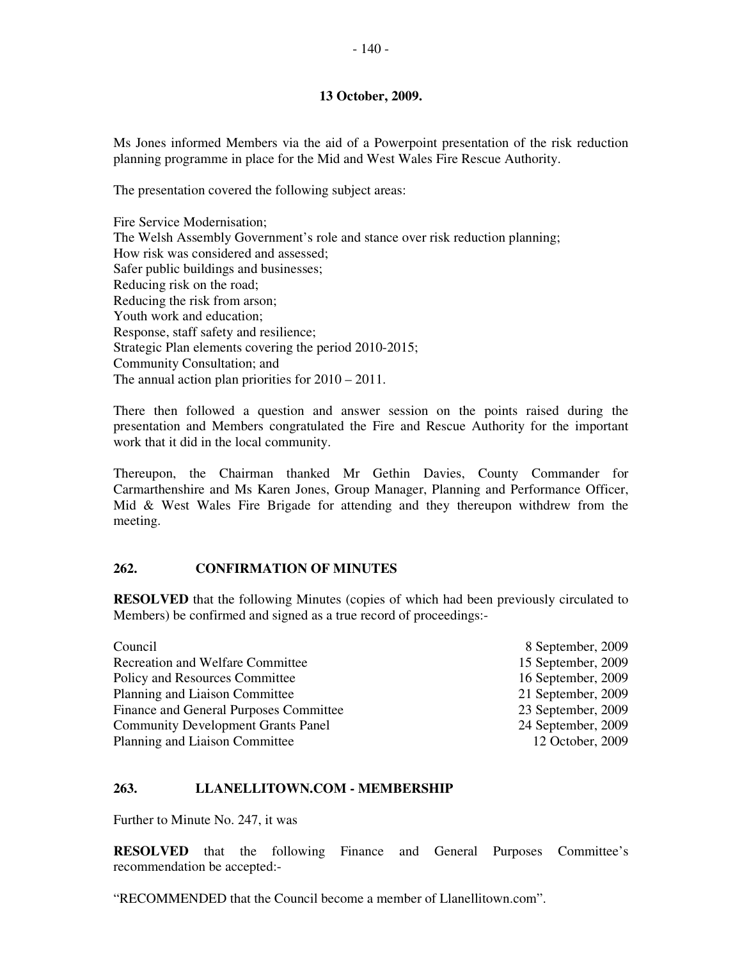Ms Jones informed Members via the aid of a Powerpoint presentation of the risk reduction planning programme in place for the Mid and West Wales Fire Rescue Authority.

The presentation covered the following subject areas:

Fire Service Modernisation; The Welsh Assembly Government's role and stance over risk reduction planning; How risk was considered and assessed; Safer public buildings and businesses; Reducing risk on the road; Reducing the risk from arson; Youth work and education; Response, staff safety and resilience; Strategic Plan elements covering the period 2010-2015; Community Consultation; and The annual action plan priorities for 2010 – 2011.

There then followed a question and answer session on the points raised during the presentation and Members congratulated the Fire and Rescue Authority for the important work that it did in the local community.

Thereupon, the Chairman thanked Mr Gethin Davies, County Commander for Carmarthenshire and Ms Karen Jones, Group Manager, Planning and Performance Officer, Mid & West Wales Fire Brigade for attending and they thereupon withdrew from the meeting.

# **262. CONFIRMATION OF MINUTES**

**RESOLVED** that the following Minutes (copies of which had been previously circulated to Members) be confirmed and signed as a true record of proceedings:-

| Council                                   | 8 September, 2009  |
|-------------------------------------------|--------------------|
| <b>Recreation and Welfare Committee</b>   | 15 September, 2009 |
| Policy and Resources Committee            | 16 September, 2009 |
| Planning and Liaison Committee            | 21 September, 2009 |
| Finance and General Purposes Committee    | 23 September, 2009 |
| <b>Community Development Grants Panel</b> | 24 September, 2009 |
| Planning and Liaison Committee            | 12 October, 2009   |

### **263. LLANELLITOWN.COM - MEMBERSHIP**

Further to Minute No. 247, it was

**RESOLVED** that the following Finance and General Purposes Committee's recommendation be accepted:-

"RECOMMENDED that the Council become a member of Llanellitown.com".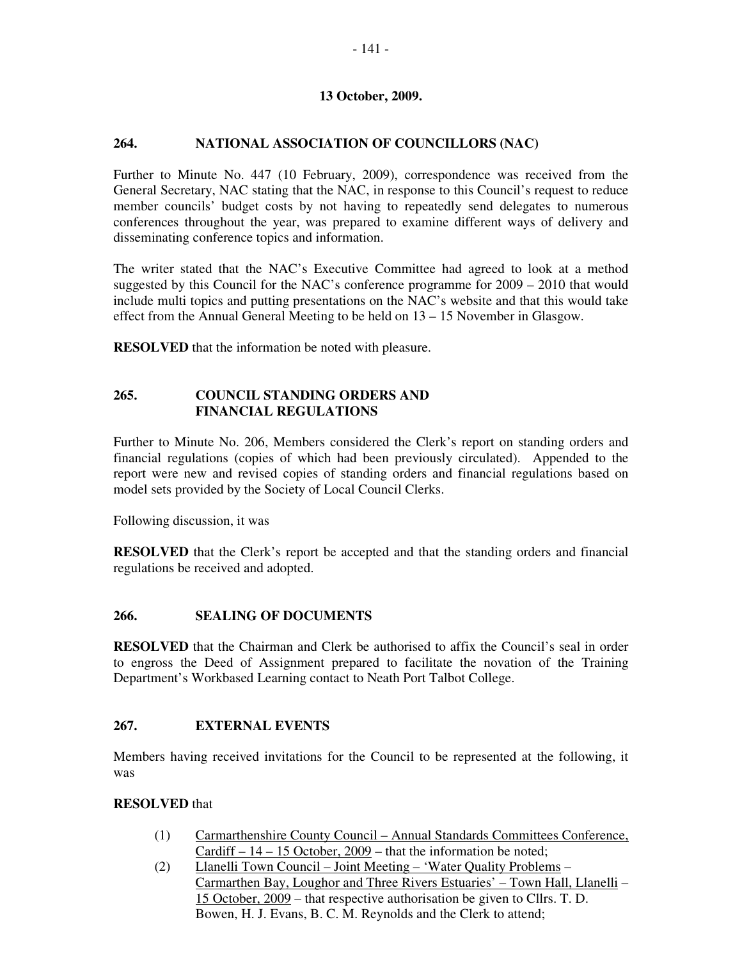# **264. NATIONAL ASSOCIATION OF COUNCILLORS (NAC)**

Further to Minute No. 447 (10 February, 2009), correspondence was received from the General Secretary, NAC stating that the NAC, in response to this Council's request to reduce member councils' budget costs by not having to repeatedly send delegates to numerous conferences throughout the year, was prepared to examine different ways of delivery and disseminating conference topics and information.

The writer stated that the NAC's Executive Committee had agreed to look at a method suggested by this Council for the NAC's conference programme for 2009 – 2010 that would include multi topics and putting presentations on the NAC's website and that this would take effect from the Annual General Meeting to be held on 13 – 15 November in Glasgow.

**RESOLVED** that the information be noted with pleasure.

# **265. COUNCIL STANDING ORDERS AND FINANCIAL REGULATIONS**

Further to Minute No. 206, Members considered the Clerk's report on standing orders and financial regulations (copies of which had been previously circulated). Appended to the report were new and revised copies of standing orders and financial regulations based on model sets provided by the Society of Local Council Clerks.

Following discussion, it was

**RESOLVED** that the Clerk's report be accepted and that the standing orders and financial regulations be received and adopted.

# **266. SEALING OF DOCUMENTS**

**RESOLVED** that the Chairman and Clerk be authorised to affix the Council's seal in order to engross the Deed of Assignment prepared to facilitate the novation of the Training Department's Workbased Learning contact to Neath Port Talbot College.

# **267. EXTERNAL EVENTS**

Members having received invitations for the Council to be represented at the following, it was

# **RESOLVED** that

- (1) Carmarthenshire County Council Annual Standards Committees Conference, Cardiff – 14 – 15 October, 2009 – that the information be noted;
- (2) Llanelli Town Council Joint Meeting 'Water Quality Problems Carmarthen Bay, Loughor and Three Rivers Estuaries' – Town Hall, Llanelli – 15 October, 2009 – that respective authorisation be given to Cllrs. T. D. Bowen, H. J. Evans, B. C. M. Reynolds and the Clerk to attend;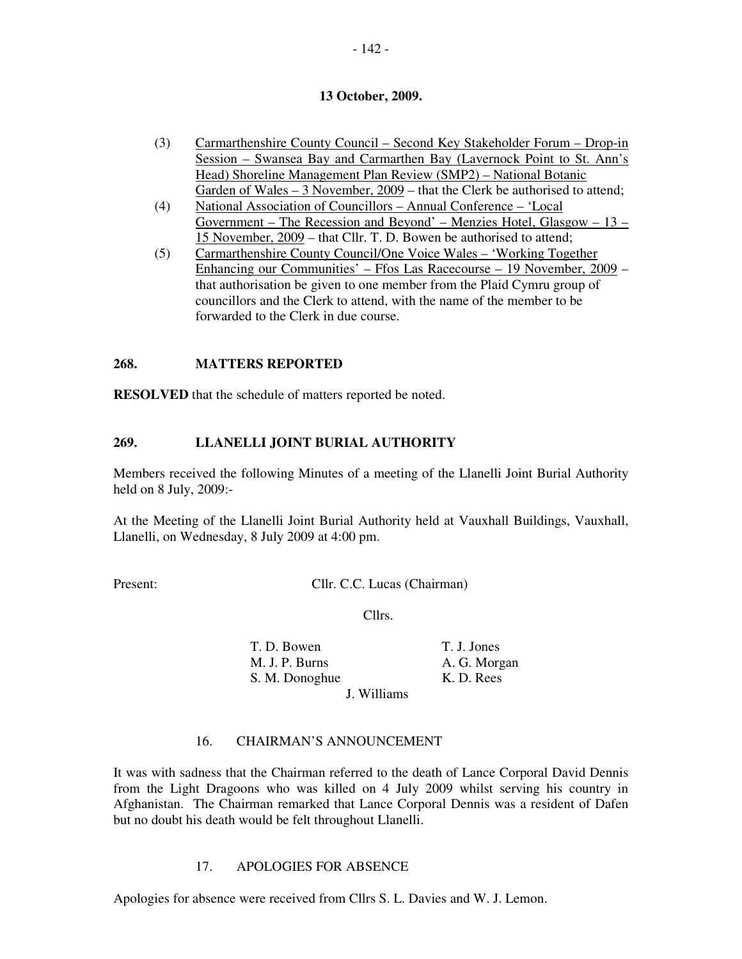- (3) Carmarthenshire County Council Second Key Stakeholder Forum Drop-in Session – Swansea Bay and Carmarthen Bay (Lavernock Point to St. Ann's Head) Shoreline Management Plan Review (SMP2) – National Botanic Garden of Wales – 3 November, 2009 – that the Clerk be authorised to attend;
- (4) National Association of Councillors Annual Conference 'Local Government – The Recession and Beyond' – Menzies Hotel, Glasgow – 13 – 15 November, 2009 – that Cllr. T. D. Bowen be authorised to attend;
- (5) Carmarthenshire County Council/One Voice Wales 'Working Together Enhancing our Communities' – Ffos Las Racecourse – 19 November, 2009 – that authorisation be given to one member from the Plaid Cymru group of councillors and the Clerk to attend, with the name of the member to be forwarded to the Clerk in due course.

### **268. MATTERS REPORTED**

**RESOLVED** that the schedule of matters reported be noted.

# **269. LLANELLI JOINT BURIAL AUTHORITY**

Members received the following Minutes of a meeting of the Llanelli Joint Burial Authority held on 8 July, 2009:-

At the Meeting of the Llanelli Joint Burial Authority held at Vauxhall Buildings, Vauxhall, Llanelli, on Wednesday, 8 July 2009 at 4:00 pm.

Present: Cllr. C.C. Lucas (Chairman)

Cllrs.

| T. D. Bowen    |             | T. J. Jones  |
|----------------|-------------|--------------|
| M. J. P. Burns |             | A. G. Morgan |
| S. M. Donoghue |             | K. D. Rees   |
|                | J. Williams |              |

# 16. CHAIRMAN'S ANNOUNCEMENT

It was with sadness that the Chairman referred to the death of Lance Corporal David Dennis from the Light Dragoons who was killed on 4 July 2009 whilst serving his country in Afghanistan. The Chairman remarked that Lance Corporal Dennis was a resident of Dafen but no doubt his death would be felt throughout Llanelli.

### 17. APOLOGIES FOR ABSENCE

Apologies for absence were received from Cllrs S. L. Davies and W. J. Lemon.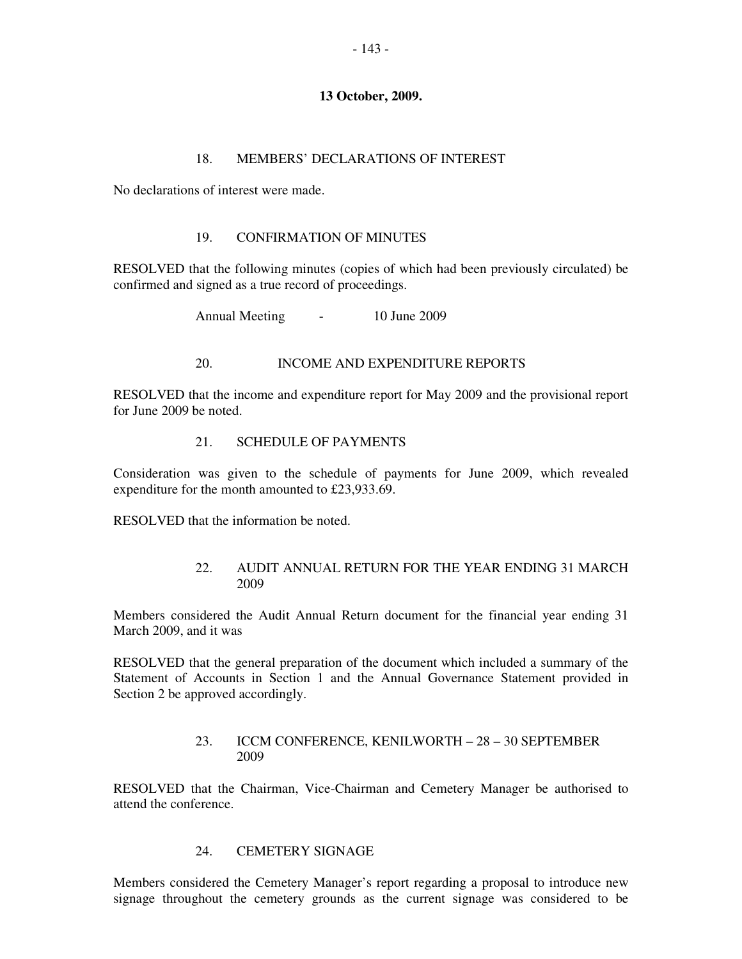#### 18. MEMBERS' DECLARATIONS OF INTEREST

No declarations of interest were made.

#### 19. CONFIRMATION OF MINUTES

RESOLVED that the following minutes (copies of which had been previously circulated) be confirmed and signed as a true record of proceedings.

Annual Meeting - 10 June 2009

### 20. INCOME AND EXPENDITURE REPORTS

RESOLVED that the income and expenditure report for May 2009 and the provisional report for June 2009 be noted.

### 21. SCHEDULE OF PAYMENTS

Consideration was given to the schedule of payments for June 2009, which revealed expenditure for the month amounted to £23,933.69.

RESOLVED that the information be noted.

### 22. AUDIT ANNUAL RETURN FOR THE YEAR ENDING 31 MARCH 2009

Members considered the Audit Annual Return document for the financial year ending 31 March 2009, and it was

RESOLVED that the general preparation of the document which included a summary of the Statement of Accounts in Section 1 and the Annual Governance Statement provided in Section 2 be approved accordingly.

### 23. ICCM CONFERENCE, KENILWORTH – 28 – 30 SEPTEMBER 2009

RESOLVED that the Chairman, Vice-Chairman and Cemetery Manager be authorised to attend the conference.

#### 24. CEMETERY SIGNAGE

Members considered the Cemetery Manager's report regarding a proposal to introduce new signage throughout the cemetery grounds as the current signage was considered to be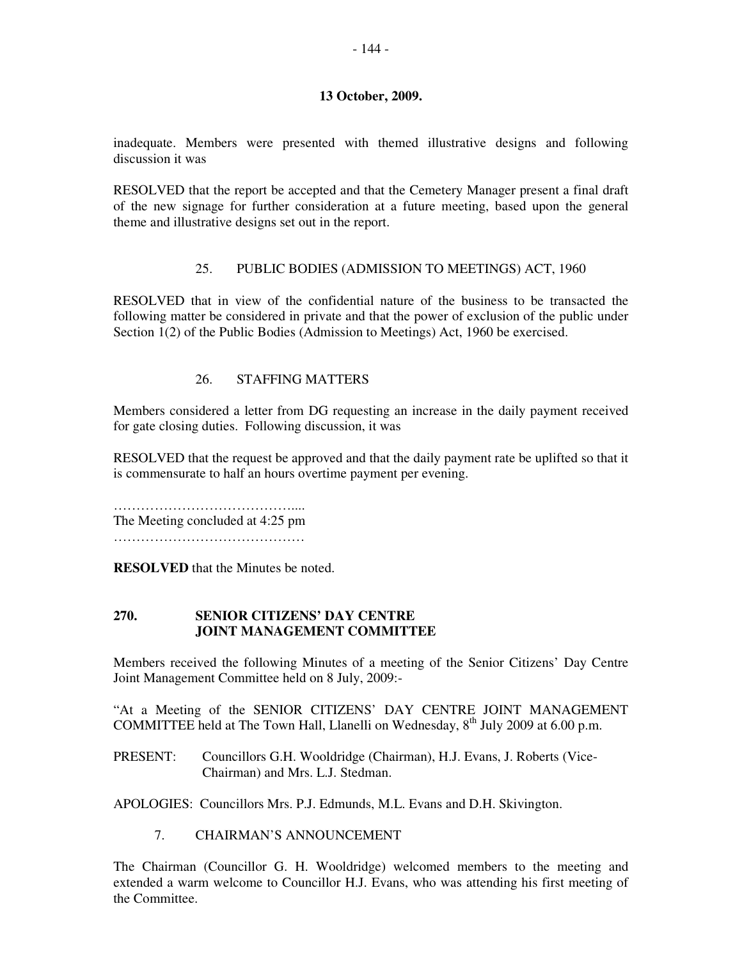inadequate. Members were presented with themed illustrative designs and following discussion it was

RESOLVED that the report be accepted and that the Cemetery Manager present a final draft of the new signage for further consideration at a future meeting, based upon the general theme and illustrative designs set out in the report.

# 25. PUBLIC BODIES (ADMISSION TO MEETINGS) ACT, 1960

RESOLVED that in view of the confidential nature of the business to be transacted the following matter be considered in private and that the power of exclusion of the public under Section 1(2) of the Public Bodies (Admission to Meetings) Act, 1960 be exercised.

# 26. STAFFING MATTERS

Members considered a letter from DG requesting an increase in the daily payment received for gate closing duties. Following discussion, it was

RESOLVED that the request be approved and that the daily payment rate be uplifted so that it is commensurate to half an hours overtime payment per evening.

………………………………….... The Meeting concluded at 4:25 pm

……………………………………

**RESOLVED** that the Minutes be noted.

### **270. SENIOR CITIZENS' DAY CENTRE JOINT MANAGEMENT COMMITTEE**

Members received the following Minutes of a meeting of the Senior Citizens' Day Centre Joint Management Committee held on 8 July, 2009:-

"At a Meeting of the SENIOR CITIZENS' DAY CENTRE JOINT MANAGEMENT COMMITTEE held at The Town Hall, Llanelli on Wednesday,  $8<sup>th</sup>$  July 2009 at 6.00 p.m.

PRESENT: Councillors G.H. Wooldridge (Chairman), H.J. Evans, J. Roberts (Vice-Chairman) and Mrs. L.J. Stedman.

APOLOGIES: Councillors Mrs. P.J. Edmunds, M.L. Evans and D.H. Skivington.

7. CHAIRMAN'S ANNOUNCEMENT

The Chairman (Councillor G. H. Wooldridge) welcomed members to the meeting and extended a warm welcome to Councillor H.J. Evans, who was attending his first meeting of the Committee.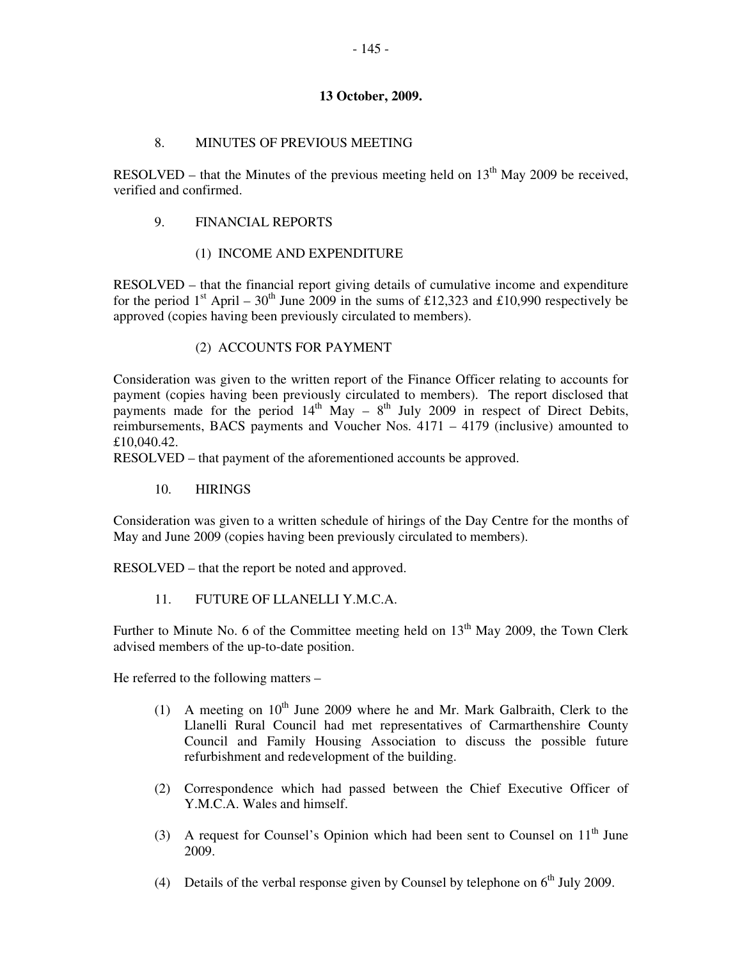# 8. MINUTES OF PREVIOUS MEETING

RESOLVED – that the Minutes of the previous meeting held on  $13<sup>th</sup>$  May 2009 be received. verified and confirmed.

# 9. FINANCIAL REPORTS

# (1) INCOME AND EXPENDITURE

RESOLVED – that the financial report giving details of cumulative income and expenditure for the period  $1<sup>st</sup>$  April – 30<sup>th</sup> June 2009 in the sums of £12,323 and £10,990 respectively be approved (copies having been previously circulated to members).

# (2) ACCOUNTS FOR PAYMENT

Consideration was given to the written report of the Finance Officer relating to accounts for payment (copies having been previously circulated to members). The report disclosed that payments made for the period  $14<sup>th</sup>$  May –  $8<sup>th</sup>$  July 2009 in respect of Direct Debits, reimbursements, BACS payments and Voucher Nos. 4171 – 4179 (inclusive) amounted to £10,040.42.

RESOLVED – that payment of the aforementioned accounts be approved.

10. HIRINGS

Consideration was given to a written schedule of hirings of the Day Centre for the months of May and June 2009 (copies having been previously circulated to members).

RESOLVED – that the report be noted and approved.

11. FUTURE OF LLANELLI Y.M.C.A.

Further to Minute No. 6 of the Committee meeting held on  $13<sup>th</sup>$  May 2009, the Town Clerk advised members of the up-to-date position.

He referred to the following matters –

- (1) A meeting on  $10^{th}$  June 2009 where he and Mr. Mark Galbraith, Clerk to the Llanelli Rural Council had met representatives of Carmarthenshire County Council and Family Housing Association to discuss the possible future refurbishment and redevelopment of the building.
- (2) Correspondence which had passed between the Chief Executive Officer of Y.M.C.A. Wales and himself.
- (3) A request for Counsel's Opinion which had been sent to Counsel on  $11<sup>th</sup>$  June 2009.
- (4) Details of the verbal response given by Counsel by telephone on  $6<sup>th</sup>$  July 2009.